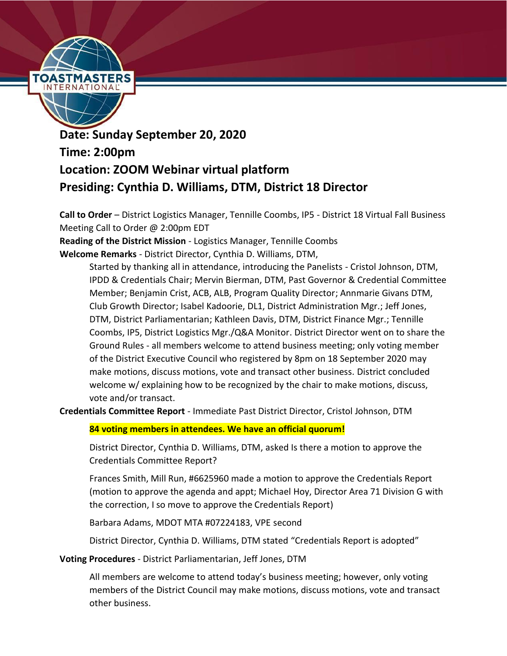

**Date: Sunday September 20, 2020 Time: 2:00pm Location: ZOOM Webinar virtual platform Presiding: Cynthia D. Williams, DTM, District 18 Director**

**Call to Order** – District Logistics Manager, Tennille Coombs, IP5 - District 18 Virtual Fall Business Meeting Call to Order @ 2:00pm EDT

**Reading of the District Mission** - Logistics Manager, Tennille Coombs

**Welcome Remarks** - District Director, Cynthia D. Williams, DTM,

Started by thanking all in attendance, introducing the Panelists - Cristol Johnson, DTM, IPDD & Credentials Chair; Mervin Bierman, DTM, Past Governor & Credential Committee Member; Benjamin Crist, ACB, ALB, Program Quality Director; Annmarie Givans DTM, Club Growth Director; Isabel Kadoorie, DL1, District Administration Mgr.; Jeff Jones, DTM, District Parliamentarian; Kathleen Davis, DTM, District Finance Mgr.; Tennille Coombs, IP5, District Logistics Mgr./Q&A Monitor. District Director went on to share the Ground Rules - all members welcome to attend business meeting; only voting member of the District Executive Council who registered by 8pm on 18 September 2020 may make motions, discuss motions, vote and transact other business. District concluded welcome w/ explaining how to be recognized by the chair to make motions, discuss, vote and/or transact.

**Credentials Committee Report** - Immediate Past District Director, Cristol Johnson, DTM

**84 voting members in attendees. We have an official quorum!**

District Director, Cynthia D. Williams, DTM, asked Is there a motion to approve the Credentials Committee Report?

Frances Smith, Mill Run, #6625960 made a motion to approve the Credentials Report (motion to approve the agenda and appt; Michael Hoy, Director Area 71 Division G with the correction, I so move to approve the Credentials Report)

Barbara Adams, MDOT MTA #07224183, VPE second

District Director, Cynthia D. Williams, DTM stated "Credentials Report is adopted"

**Voting Procedures** - District Parliamentarian, Jeff Jones, DTM

All members are welcome to attend today's business meeting; however, only voting members of the District Council may make motions, discuss motions, vote and transact other business.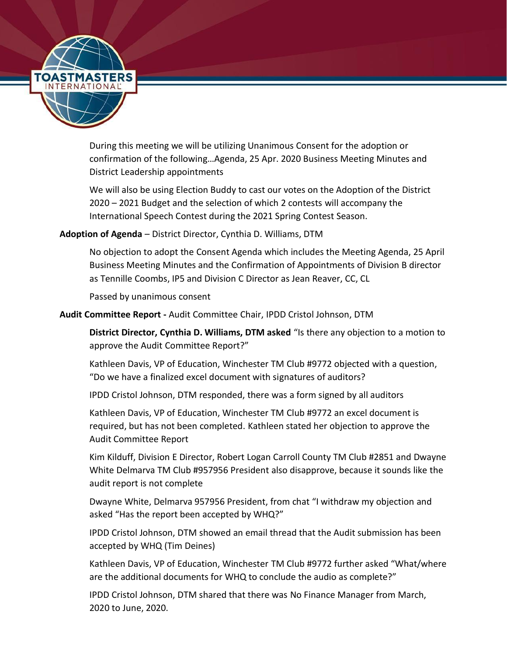

During this meeting we will be utilizing Unanimous Consent for the adoption or confirmation of the following…Agenda, 25 Apr. 2020 Business Meeting Minutes and District Leadership appointments

We will also be using Election Buddy to cast our votes on the Adoption of the District 2020 – 2021 Budget and the selection of which 2 contests will accompany the International Speech Contest during the 2021 Spring Contest Season.

### **Adoption of Agenda** – District Director, Cynthia D. Williams, DTM

No objection to adopt the Consent Agenda which includes the Meeting Agenda, 25 April Business Meeting Minutes and the Confirmation of Appointments of Division B director as Tennille Coombs, IP5 and Division C Director as Jean Reaver, CC, CL

Passed by unanimous consent

### **Audit Committee Report -** Audit Committee Chair, IPDD Cristol Johnson, DTM

**District Director, Cynthia D. Williams, DTM asked** "Is there any objection to a motion to approve the Audit Committee Report?"

Kathleen Davis, VP of Education, Winchester TM Club #9772 objected with a question, "Do we have a finalized excel document with signatures of auditors?

IPDD Cristol Johnson, DTM responded, there was a form signed by all auditors

Kathleen Davis, VP of Education, Winchester TM Club #9772 an excel document is required, but has not been completed. Kathleen stated her objection to approve the Audit Committee Report

Kim Kilduff, Division E Director, Robert Logan Carroll County TM Club #2851 and Dwayne White Delmarva TM Club #957956 President also disapprove, because it sounds like the audit report is not complete

Dwayne White, Delmarva 957956 President, from chat "I withdraw my objection and asked "Has the report been accepted by WHQ?"

IPDD Cristol Johnson, DTM showed an email thread that the Audit submission has been accepted by WHQ (Tim Deines)

Kathleen Davis, VP of Education, Winchester TM Club #9772 further asked "What/where are the additional documents for WHQ to conclude the audio as complete?"

IPDD Cristol Johnson, DTM shared that there was No Finance Manager from March, 2020 to June, 2020.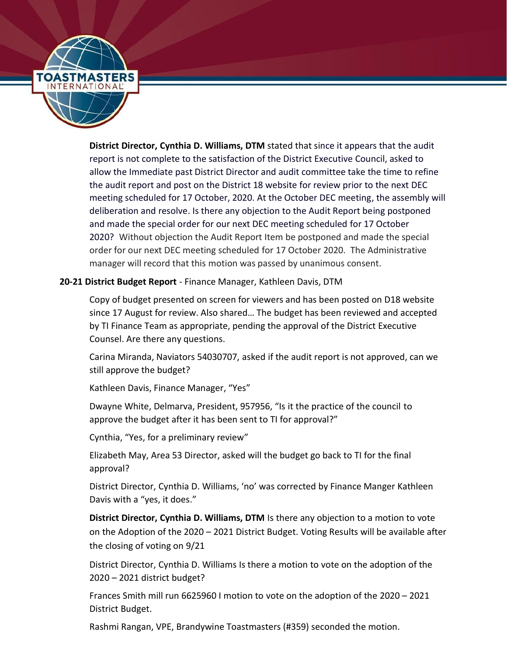

**District Director, Cynthia D. Williams, DTM** stated that since it appears that the audit report is not complete to the satisfaction of the District Executive Council, asked to allow the Immediate past District Director and audit committee take the time to refine the audit report and post on the District 18 website for review prior to the next DEC meeting scheduled for 17 October, 2020. At the October DEC meeting, the assembly will deliberation and resolve. Is there any objection to the Audit Report being postponed and made the special order for our next DEC meeting scheduled for 17 October 2020? Without objection the Audit Report Item be postponed and made the special order for our next DEC meeting scheduled for 17 October 2020. The Administrative manager will record that this motion was passed by unanimous consent.

### **20-21 District Budget Report** - Finance Manager, Kathleen Davis, DTM

Copy of budget presented on screen for viewers and has been posted on D18 website since 17 August for review. Also shared… The budget has been reviewed and accepted by TI Finance Team as appropriate, pending the approval of the District Executive Counsel. Are there any questions.

Carina Miranda, Naviators 54030707, asked if the audit report is not approved, can we still approve the budget?

Kathleen Davis, Finance Manager, "Yes"

Dwayne White, Delmarva, President, 957956, "Is it the practice of the council to approve the budget after it has been sent to TI for approval?"

Cynthia, "Yes, for a preliminary review"

Elizabeth May, Area 53 Director, asked will the budget go back to TI for the final approval?

District Director, Cynthia D. Williams, 'no' was corrected by Finance Manger Kathleen Davis with a "yes, it does."

**District Director, Cynthia D. Williams, DTM** Is there any objection to a motion to vote on the Adoption of the 2020 – 2021 District Budget. Voting Results will be available after the closing of voting on 9/21

District Director, Cynthia D. Williams Is there a motion to vote on the adoption of the 2020 – 2021 district budget?

Frances Smith mill run 6625960 I motion to vote on the adoption of the 2020 – 2021 District Budget.

Rashmi Rangan, VPE, Brandywine Toastmasters (#359) seconded the motion.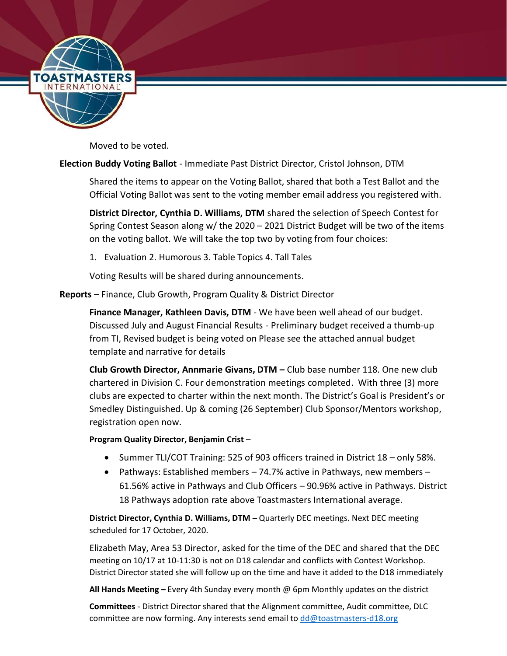

Moved to be voted.

## **Election Buddy Voting Ballot** - Immediate Past District Director, Cristol Johnson, DTM

Shared the items to appear on the Voting Ballot, shared that both a Test Ballot and the Official Voting Ballot was sent to the voting member email address you registered with.

**District Director, Cynthia D. Williams, DTM** shared the selection of Speech Contest for Spring Contest Season along w/ the 2020 – 2021 District Budget will be two of the items on the voting ballot. We will take the top two by voting from four choices:

1. Evaluation 2. Humorous 3. Table Topics 4. Tall Tales

Voting Results will be shared during announcements.

**Reports** – Finance, Club Growth, Program Quality & District Director

**Finance Manager, Kathleen Davis, DTM** - We have been well ahead of our budget. Discussed July and August Financial Results - Preliminary budget received a thumb-up from TI, Revised budget is being voted on Please see the attached annual budget template and narrative for details

**Club Growth Director, Annmarie Givans, DTM –** Club base number 118. One new club chartered in Division C. Four demonstration meetings completed. With three (3) more clubs are expected to charter within the next month. The District's Goal is President's or Smedley Distinguished. Up & coming (26 September) Club Sponsor/Mentors workshop, registration open now.

### **Program Quality Director, Benjamin Crist** –

- Summer TLI/COT Training: 525 of 903 officers trained in District 18 only 58%.
- Pathways: Established members 74.7% active in Pathways, new members 61.56% active in Pathways and Club Officers – 90.96% active in Pathways. District 18 Pathways adoption rate above Toastmasters International average.

**District Director, Cynthia D. Williams, DTM –** Quarterly DEC meetings. Next DEC meeting scheduled for 17 October, 2020.

Elizabeth May, Area 53 Director, asked for the time of the DEC and shared that the DEC meeting on 10/17 at 10-11:30 is not on D18 calendar and conflicts with Contest Workshop. District Director stated she will follow up on the time and have it added to the D18 immediately

**All Hands Meeting –** Every 4th Sunday every month @ 6pm Monthly updates on the district

**Committees** - District Director shared that the Alignment committee, Audit committee, DLC committee are now forming. Any interests send email to  $dd@to$  astmasters-d18.org